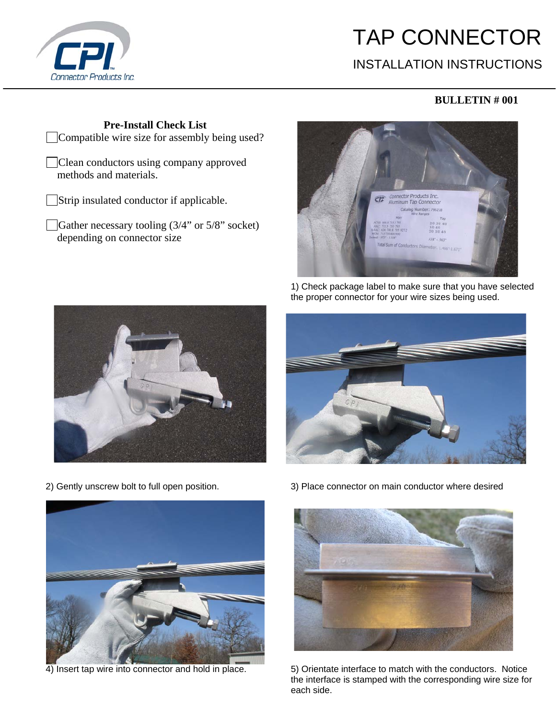

## TAP CONNECTOR

## INSTALLATION INSTRUCTIONS

## **BULLETIN # 001**

**Pre-Install Check List**  Compatible wire size for assembly being used?

Clean conductors using company approved methods and materials.

Strip insulated conductor if applicable.

Gather necessary tooling (3/4" or 5/8" socket) depending on connector size



 1) Check package label to make sure that you have selected the proper connector for your wire sizes being used.









2) Gently unscrew bolt to full open position. 3) Place connector on main conductor where desired



4) Insert tap wire into connector and hold in place. 5) Orientate interface to match with the conductors. Notice the interface is stamped with the corresponding wire size for each side.